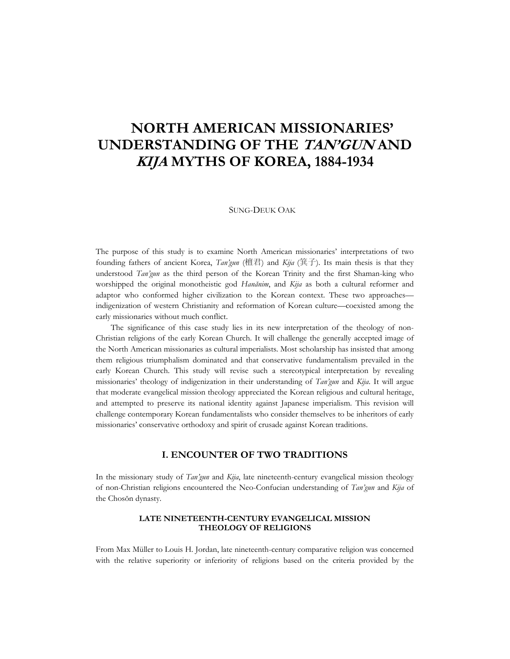# **NORTH AMERICAN MISSIONARIES' UNDERSTANDING OF THE TAN'GUN AND KIJA MYTHS OF KOREA, 1884-1934**

#### SUNG-DEUK OAK

The purpose of this study is to examine North American missionaries' interpretations of two founding fathers of ancient Korea, *Tan'gun* (檀君) and *Kija* (箕子). Its main thesis is that they understood *Tan'gun* as the third person of the Korean Trinity and the first Shaman-king who worshipped the original monotheistic god *Hanănim*, and *Kija* as both a cultural reformer and adaptor who conformed higher civilization to the Korean context. These two approaches indigenization of western Christianity and reformation of Korean culture—coexisted among the early missionaries without much conflict.

The significance of this case study lies in its new interpretation of the theology of non-Christian religions of the early Korean Church. It will challenge the generally accepted image of the North American missionaries as cultural imperialists. Most scholarship has insisted that among them religious triumphalism dominated and that conservative fundamentalism prevailed in the early Korean Church. This study will revise such a stereotypical interpretation by revealing missionaries' theology of indigenization in their understanding of *Tan'gun* and *Kija*. It will argue that moderate evangelical mission theology appreciated the Korean religious and cultural heritage, and attempted to preserve its national identity against Japanese imperialism. This revision will challenge contemporary Korean fundamentalists who consider themselves to be inheritors of early missionaries' conservative orthodoxy and spirit of crusade against Korean traditions.

### **I. ENCOUNTER OF TWO TRADITIONS**

In the missionary study of *Tan'gun* and *Kija*, late nineteenth-century evangelical mission theology of non-Christian religions encountered the Neo-Confucian understanding of *Tan'gun* and *Kija* of the Chosŏn dynasty.

#### **LATE NINETEENTH-CENTURY EVANGELICAL MISSION THEOLOGY OF RELIGIONS**

From Max Müller to Louis H. Jordan, late nineteenth-century comparative religion was concerned with the relative superiority or inferiority of religions based on the criteria provided by the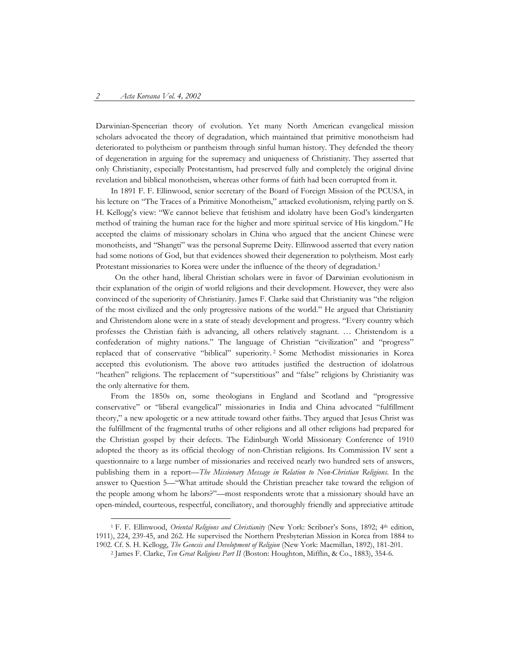Darwinian-Spencerian theory of evolution. Yet many North American evangelical mission scholars advocated the theory of degradation, which maintained that primitive monotheism had deteriorated to polytheism or pantheism through sinful human history. They defended the theory of degeneration in arguing for the supremacy and uniqueness of Christianity. They asserted that only Christianity, especially Protestantism, had preserved fully and completely the original divine revelation and biblical monotheism, whereas other forms of faith had been corrupted from it.

In 1891 F. F. Ellinwood, senior secretary of the Board of Foreign Mission of the PCUSA, in his lecture on "The Traces of a Primitive Monotheism," attacked evolutionism, relying partly on S. H. Kellogg's view: "We cannot believe that fetishism and idolatry have been God's kindergarten method of training the human race for the higher and more spiritual service of His kingdom." He accepted the claims of missionary scholars in China who argued that the ancient Chinese were monotheists, and "Shangti" was the personal Supreme Deity. Ellinwood asserted that every nation had some notions of God, but that evidences showed their degeneration to polytheism. Most early Protestant missionaries to Korea were under the influence of the theory of degradation.1

 On the other hand, liberal Christian scholars were in favor of Darwinian evolutionism in their explanation of the origin of world religions and their development. However, they were also convinced of the superiority of Christianity. James F. Clarke said that Christianity was "the religion of the most civilized and the only progressive nations of the world." He argued that Christianity and Christendom alone were in a state of steady development and progress. "Every country which professes the Christian faith is advancing, all others relatively stagnant. … Christendom is a confederation of mighty nations." The language of Christian "civilization" and "progress" replaced that of conservative "biblical" superiority. <sup>2</sup> Some Methodist missionaries in Korea accepted this evolutionism. The above two attitudes justified the destruction of idolatrous "heathen" religions. The replacement of "superstitious" and "false" religions by Christianity was the only alternative for them.

From the 1850s on, some theologians in England and Scotland and "progressive conservative" or "liberal evangelical" missionaries in India and China advocated "fulfillment theory," a new apologetic or a new attitude toward other faiths. They argued that Jesus Christ was the fulfillment of the fragmental truths of other religions and all other religions had prepared for the Christian gospel by their defects. The Edinburgh World Missionary Conference of 1910 adopted the theory as its official theology of non-Christian religions. Its Commission IV sent a questionnaire to a large number of missionaries and received nearly two hundred sets of answers, publishing them in a report—*The Missionary Message in Relation to Non-Christian Religions*. In the answer to Question 5—"What attitude should the Christian preacher take toward the religion of the people among whom he labors?"—most respondents wrote that a missionary should have an open-minded, courteous, respectful, conciliatory, and thoroughly friendly and appreciative attitude

 <sup>1</sup> F. F. Ellinwood, *Oriental Religions and Christianity* (New York: Scribner's Sons, 1892; 4th edition, 1911), 224, 239-45, and 262. He supervised the Northern Presbyterian Mission in Korea from 1884 to 1902. Cf. S. H. Kellogg, *The Genesis and Development of Religion* (New York: Macmillan, 1892), 181-201. 2 James F. Clarke, *Ten Great Religions Part II* (Boston: Houghton, Mifflin, & Co., 1883), 354-6.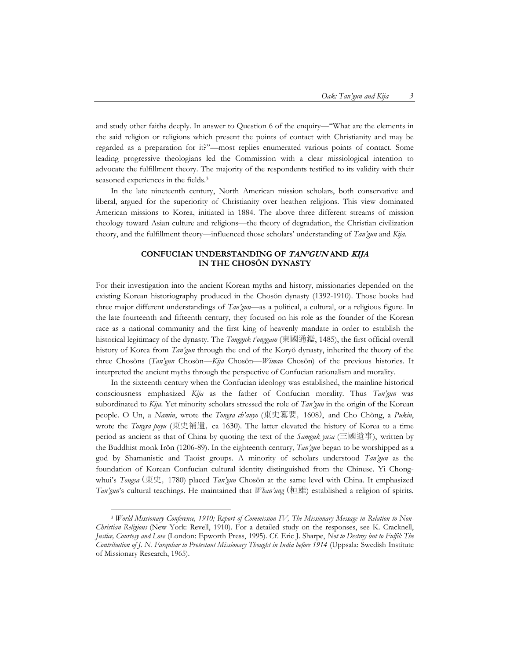and study other faiths deeply. In answer to Question 6 of the enquiry—"What are the elements in the said religion or religions which present the points of contact with Christianity and may be regarded as a preparation for it?"—most replies enumerated various points of contact. Some leading progressive theologians led the Commission with a clear missiological intention to advocate the fulfillment theory. The majority of the respondents testified to its validity with their seasoned experiences in the fields. 3

In the late nineteenth century, North American mission scholars, both conservative and liberal, argued for the superiority of Christianity over heathen religions. This view dominated American missions to Korea, initiated in 1884. The above three different streams of mission theology toward Asian culture and religions—the theory of degradation, the Christian civilization theory, and the fulfillment theory—influenced those scholars' understanding of *Tan'gun* and *Kija*.

#### **CONFUCIAN UNDERSTANDING OF TAN'GUN AND KIJA IN THE CHOSŎN DYNASTY**

For their investigation into the ancient Korean myths and history, missionaries depended on the existing Korean historiography produced in the Chosŏn dynasty (1392-1910). Those books had three major different understandings of *Tan'gun*—as a political, a cultural, or a religious figure. In the late fourteenth and fifteenth century, they focused on his role as the founder of the Korean race as a national community and the first king of heavenly mandate in order to establish the historical legitimacy of the dynasty. The *Tongguk t'onggam* (東國通鑑, 1485), the first official overall history of Korea from *Tan'gun* through the end of the Koryŏ dynasty, inherited the theory of the three Chosŏns (*Tan'gun* Chosŏn—*Kija* Chosŏn—*Wiman* Chosŏn) of the previous histories. It interpreted the ancient myths through the perspective of Confucian rationalism and morality.

In the sixteenth century when the Confucian ideology was established, the mainline historical consciousness emphasized *Kija* as the father of Confucian morality. Thus *Tan'gun* was subordinated to *Kija*. Yet minority scholars stressed the role of *Tan'gun* in the origin of the Korean people. O Un, a *Namin*, wrote the *Tongsa ch'anyo* (東史纂要, 1608), and Cho Chŏng, a *Pukin*, wrote the *Tongsa poyu* (東史補遺, ca 1630). The latter elevated the history of Korea to a time period as ancient as that of China by quoting the text of the *Samguk yusa* (三國遺事), written by the Buddhist monk Irŏn (1206-89). In the eighteenth century, *Tan'gun* began to be worshipped as a god by Shamanistic and Taoist groups. A minority of scholars understood *Tan'gun* as the foundation of Korean Confucian cultural identity distinguished from the Chinese. Yi Chongwhui's *Tongsa* (東史, 1780) placed *Tan'gun* Chosŏn at the same level with China. It emphasized *Tan'gun*'s cultural teachings. He maintained that *Whan'ung* (桓雄) established a religion of spirits.

 <sup>3</sup> *World Missionary Conference, 1910; Report of Commission IV, The Missionary Message in Relation to Non-Christian Religions* (New York: Revell, 1910). For a detailed study on the responses, see K. Cracknell, *Justice, Courtesy and Love* (London: Epworth Press, 1995). Cf. Eric J. Sharpe, *Not to Destroy but to Fulfil: The Contribution of J. N. Farquhar to Protestant Missionary Thought in India before 1914* (Uppsala: Swedish Institute of Missionary Research, 1965).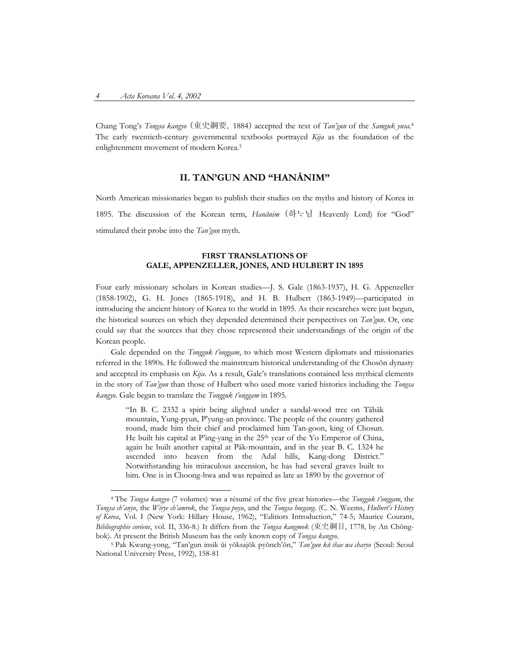Chang Tong's *Tongsa kangyo* (東史綱要, 1884) accepted the text of *Tan'gun* of the *Samguk yusa*. 4 The early twentieth-century governmental textbooks portrayed *Kija* as the foundation of the enlightenment movement of modern Korea.5

## **II. TAN'GUN AND "HANĂNIM"**

North American missionaries began to publish their studies on the myths and history of Korea in 1895. The discussion of the Korean term, *Hanănim* (하님 Heavenly Lord) for "God" stimulated their probe into the *Tan'gun* myth.

#### **FIRST TRANSLATIONS OF GALE, APPENZELLER, JONES, AND HULBERT IN 1895**

Four early missionary scholars in Korean studies—J. S. Gale (1863-1937), H. G. Appenzeller (1858-1902), G. H. Jones (1865-1918), and H. B. Hulbert (1863-1949)—participated in introducing the ancient history of Korea to the world in 1895. As their researches were just begun, the historical sources on which they depended determined their perspectives on *Tan'gun*. Or, one could say that the sources that they chose represented their understandings of the origin of the Korean people.

Gale depended on the *Tongguk t'onggam*, to which most Western diplomats and missionaries referred in the 1890s. He followed the mainstream historical understanding of the Chosŏn dynasty and accepted its emphasis on *Kija*. As a result, Gale's translations contained less mythical elements in the story of *Tan'gun* than those of Hulbert who used more varied histories including the *Tongsa kangyo*. Gale began to translate the *Tongguk t'onggam* in 1895.

"In B. C. 2332 a spirit being alighted under a sandal-wood tree on Tābāk mountain, Yung-pyun, P'yung-an province. The people of the country gathered round, made him their chief and proclaimed him Tan-goon, king of Chosun. He built his capital at P'ing-yang in the 25<sup>th</sup> year of the Yo Emperor of China, again he built another capital at Pāk-mountain, and in the year B. C. 1324 he ascended into heaven from the Adal hills, Kang-dong District." Notwithstanding his miraculous ascension, he has had several graves built to him. One is in Choong-hwa and was repaired as late as 1890 by the governor of

 <sup>4</sup> The *Tongsa kangyo* (7 volumes) was a résumé of the five great histories—the *Tongguk t'onggam*, the *Tongsa ch'anyo*, the *Wirye ch'amrok*, the *Tongsa poyu*, and the *Tongsa hoegang*. (C. N. Weems, *Hulbert's History of Korea*, Vol. I (New York: Hillary House, 1962), "Editiors Introduction," 74-5; Maurice Courant, *Bibliographie coréene*, vol. II, 336-8.) It differs from the *Tongsa kangmok* (東史綱目, 1778, by An Chŏngbok). At present the British Museum has the only known copy of *Tongsa kangyo.* 5 Pak Kwang-yong, "Tan'gun insik ŭi yŏksajŏk pyŏnch'ŏn," *Tan'gun k<sup>ŭ</sup> ihae wa charyo* (Seoul: Seoul

National University Press, 1992), 158-81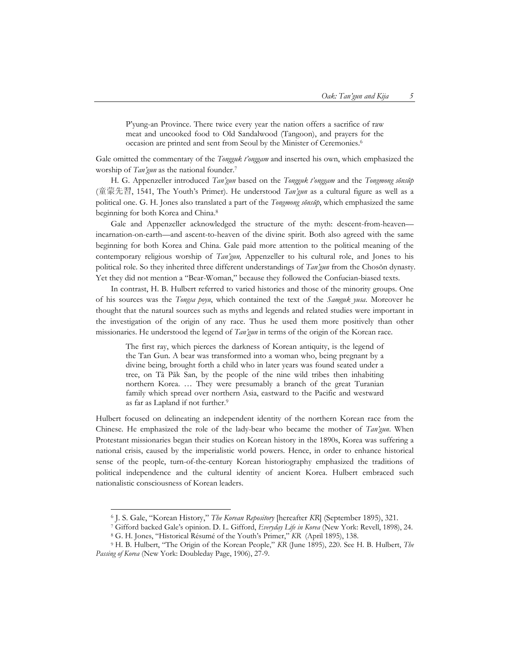P'yung-an Province. There twice every year the nation offers a sacrifice of raw meat and uncooked food to Old Sandalwood (Tangoon), and prayers for the occasion are printed and sent from Seoul by the Minister of Ceremonies.6

Gale omitted the commentary of the *Tongguk t'onggam* and inserted his own, which emphasized the worship of *Tan'gun* as the national founder.7

H. G. Appenzeller introduced *Tan'gun* based on the *Tongguk t'onggam* and the *Tongmong sŏnsŭp*  (童蒙先習, 1541, The Youth's Primer). He understood *Tan'gun* as a cultural figure as well as a political one. G. H. Jones also translated a part of the *Tongmong sŏnsŭp*, which emphasized the same beginning for both Korea and China. 8

Gale and Appenzeller acknowledged the structure of the myth: descent-from-heaven incarnation-on-earth—and ascent-to-heaven of the divine spirit. Both also agreed with the same beginning for both Korea and China. Gale paid more attention to the political meaning of the contemporary religious worship of *Tan'gun,* Appenzeller to his cultural role, and Jones to his political role. So they inherited three different understandings of *Tan'gun* from the Chosŏn dynasty. Yet they did not mention a "Bear-Woman," because they followed the Confucian-biased texts.

In contrast, H. B. Hulbert referred to varied histories and those of the minority groups. One of his sources was the *Tongsa poyu*, which contained the text of the *Samguk yusa*. Moreover he thought that the natural sources such as myths and legends and related studies were important in the investigation of the origin of any race. Thus he used them more positively than other missionaries. He understood the legend of *Tan'gun* in terms of the origin of the Korean race.

The first ray, which pierces the darkness of Korean antiquity, is the legend of the Tan Gun. A bear was transformed into a woman who, being pregnant by a divine being, brought forth a child who in later years was found seated under a tree, on Tã Pãk San, by the people of the nine wild tribes then inhabiting northern Korea. … They were presumably a branch of the great Turanian family which spread over northern Asia, eastward to the Pacific and westward as far as Lapland if not further.<sup>9</sup>

Hulbert focused on delineating an independent identity of the northern Korean race from the Chinese. He emphasized the role of the lady-bear who became the mother of *Tan'gun*. When Protestant missionaries began their studies on Korean history in the 1890s, Korea was suffering a national crisis, caused by the imperialistic world powers. Hence, in order to enhance historical sense of the people, turn-of-the-century Korean historiography emphasized the traditions of political independence and the cultural identity of ancient Korea. Hulbert embraced such nationalistic consciousness of Korean leaders.

 <sup>6</sup> J. S. Gale, "Korean History," *The Korean Repository* [hereafter *KR*] (September 1895), 321.

<sup>7</sup> Gifford backed Gale's opinion. D. L. Gifford, *Everyday Life in Korea* (New York: Revell, 1898), 24. 8 G. H. Jones, "Historical Résumé of the Youth's Primer," *KR* (April 1895), 138.

<sup>9</sup> H. B. Hulbert, "The Origin of the Korean People," *KR* (June 1895), 220. See H. B. Hulbert, *The Passing of Korea* (New York: Doubleday Page, 1906), 27-9.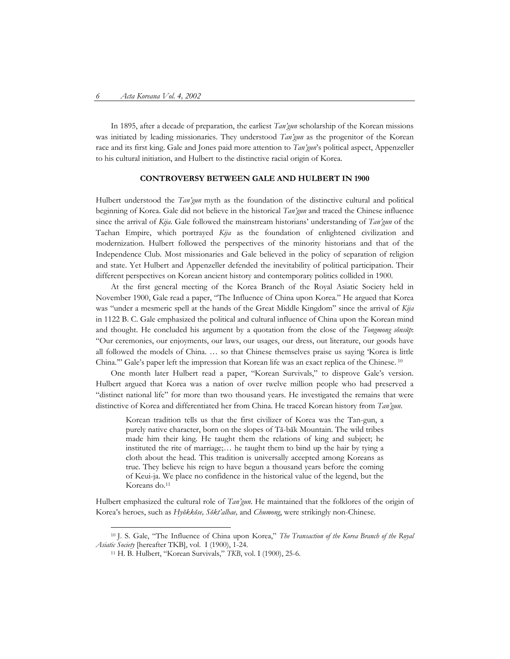In 1895, after a decade of preparation, the earliest *Tan'gun* scholarship of the Korean missions was initiated by leading missionaries. They understood *Tan'gun* as the progenitor of the Korean race and its first king. Gale and Jones paid more attention to *Tan'gun*'s political aspect, Appenzeller to his cultural initiation, and Hulbert to the distinctive racial origin of Korea.

## **CONTROVERSY BETWEEN GALE AND HULBERT IN 1900**

Hulbert understood the *Tan'gun* myth as the foundation of the distinctive cultural and political beginning of Korea. Gale did not believe in the historical *Tan'gun* and traced the Chinese influence since the arrival of *Kija*. Gale followed the mainstream historians' understanding of *Tan'gun* of the Taehan Empire, which portrayed *Kija* as the foundation of enlightened civilization and modernization. Hulbert followed the perspectives of the minority historians and that of the Independence Club. Most missionaries and Gale believed in the policy of separation of religion and state. Yet Hulbert and Appenzeller defended the inevitability of political participation. Their different perspectives on Korean ancient history and contemporary politics collided in 1900.

At the first general meeting of the Korea Branch of the Royal Asiatic Society held in November 1900, Gale read a paper, "The Influence of China upon Korea." He argued that Korea was "under a mesmeric spell at the hands of the Great Middle Kingdom" since the arrival of *Kija* in 1122 B. C. Gale emphasized the political and cultural influence of China upon the Korean mind and thought. He concluded his argument by a quotation from the close of the *Tongmong sŏnsŭp*: "Our ceremonies, our enjoyments, our laws, our usages, our dress, out literature, our goods have all followed the models of China. … so that Chinese themselves praise us saying 'Korea is little China.'" Gale's paper left the impression that Korean life was an exact replica of the Chinese. 10

One month later Hulbert read a paper, "Korean Survivals," to disprove Gale's version. Hulbert argued that Korea was a nation of over twelve million people who had preserved a "distinct national life" for more than two thousand years. He investigated the remains that were distinctive of Korea and differentiated her from China. He traced Korean history from *Tan'gun*.

Korean tradition tells us that the first civilizer of Korea was the Tan-gun, a purely native character, born on the slopes of Tă-băk Mountain. The wild tribes made him their king. He taught them the relations of king and subject; he instituted the rite of marriage;… he taught them to bind up the hair by tying a cloth about the head. This tradition is universally accepted among Koreans as true. They believe his reign to have begun a thousand years before the coming of Keui-ja. We place no confidence in the historical value of the legend, but the Koreans do.<sup>11</sup>

Hulbert emphasized the cultural role of *Tan'gun*. He maintained that the folklores of the origin of Korea's heroes, such as *Hyŏkkŏse, Sŏkt'alhae,* and *Chumong*, were strikingly non-Chinese.

 <sup>10</sup> J. S. Gale, "The Influence of China upon Korea," *The Transaction of the Korea Branch of the Royal Asiatic Society* [hereafter TKB], vol. I (1900), 1-24.

<sup>11</sup> H. B. Hulbert, "Korean Survivals," *TKB*, vol. I (1900), 25-6.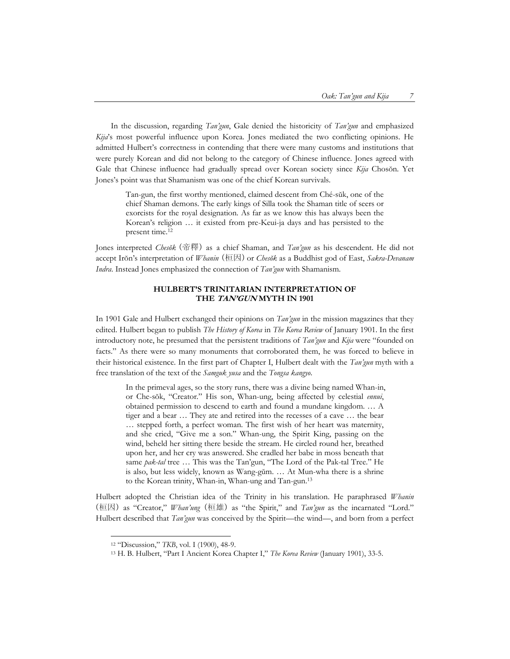In the discussion, regarding *Tan'gun*, Gale denied the historicity of *Tan'gun* and emphasized *Kija*'s most powerful influence upon Korea. Jones mediated the two conflicting opinions. He admitted Hulbert's correctness in contending that there were many customs and institutions that were purely Korean and did not belong to the category of Chinese influence. Jones agreed with Gale that Chinese influence had gradually spread over Korean society since *Kija* Chosŏn. Yet Jones's point was that Shamanism was one of the chief Korean survivals.

Tan-gun, the first worthy mentioned, claimed descent from Ché-sŭk, one of the chief Shaman demons. The early kings of Silla took the Shaman title of seers or exorcists for the royal designation. As far as we know this has always been the Korean's religion … it existed from pre-Keui-ja days and has persisted to the present time.<sup>12</sup>

Jones interpreted *Chesŏk* (帝釋) as a chief Shaman, and *Tan'gun* as his descendent. He did not accept Irŏn's interpretation of *Whanin* (桓因) or *Chesŏk* as a Buddhist god of East, *Sakra-Devanam Indra*. Instead Jones emphasized the connection of *Tan'gun* with Shamanism.

#### **HULBERT'S TRINITARIAN INTERPRETATION OF THE TAN'GUN MYTH IN 1901**

In 1901 Gale and Hulbert exchanged their opinions on *Tan'gun* in the mission magazines that they edited. Hulbert began to publish *The History of Korea* in *The Korea Review* of January 1901. In the first introductory note, he presumed that the persistent traditions of *Tan'gun* and *Kija* were "founded on facts." As there were so many monuments that corroborated them, he was forced to believe in their historical existence. In the first part of Chapter I, Hulbert dealt with the *Tan'gun* myth with a free translation of the text of the *Samguk yusa* and the *Tongsa kangyo*.

In the primeval ages, so the story runs, there was a divine being named Whan-in, or Che-sŏk, "Creator." His son, Whan-ung, being affected by celestial *ennui*, obtained permission to descend to earth and found a mundane kingdom. … A tiger and a bear … They ate and retired into the recesses of a cave … the bear … stepped forth, a perfect woman. The first wish of her heart was maternity, and she cried, "Give me a son." Whan-ung, the Spirit King, passing on the wind, beheld her sitting there beside the stream. He circled round her, breathed upon her, and her cry was answered. She cradled her babe in moss beneath that same *pak-tal* tree … This was the Tan'gun, "The Lord of the Pak-tal Tree." He is also, but less widely, known as Wang-gŭm. … At Mun-wha there is a shrine to the Korean trinity, Whan-in, Whan-ung and Tan-gun.13

Hulbert adopted the Christian idea of the Trinity in his translation. He paraphrased *Whanin* (桓因) as "Creator," *Whan'ung* (桓雄) as "the Spirit," and *Tan'gun* as the incarnated "Lord." Hulbert described that *Tan'gun* was conceived by the Spirit—the wind—, and born from a perfect

<sup>&</sup>lt;sup>12</sup> "Discussion," *TKB*, vol. I (1900), 48-9.<br><sup>13</sup> H. B. Hulbert, "Part I Ancient Korea Chapter I," *The Korea Review* (January 1901), 33-5.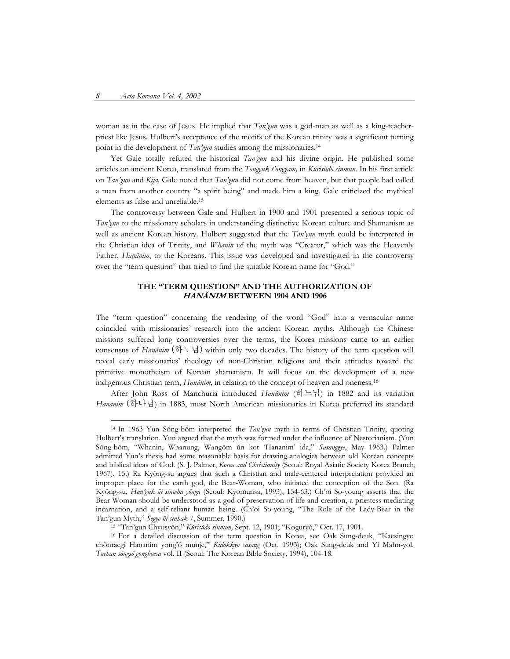woman as in the case of Jesus. He implied that *Tan'gun* was a god-man as well as a king-teacherpriest like Jesus. Hulbert's acceptance of the motifs of the Korean trinity was a significant turning point in the development of *Tan'gun* studies among the missionaries.<sup>14</sup>

Yet Gale totally refuted the historical *Tan'gun* and his divine origin. He published some articles on ancient Korea, translated from the *Tongguk t'onggam,* in *Kŭrisŭdo sinmun*. In his first article on *Tan'gun* and *Kija,* Gale noted that *Tan'gun* did not come from heaven, but that people had called a man from another country "a spirit being" and made him a king. Gale criticized the mythical elements as false and unreliable.15

The controversy between Gale and Hulbert in 1900 and 1901 presented a serious topic of *Tan'gun* to the missionary scholars in understanding distinctive Korean culture and Shamanism as well as ancient Korean history. Hulbert suggested that the *Tan'gun* myth could be interpreted in the Christian idea of Trinity, and *Whanin* of the myth was "Creator," which was the Heavenly Father, *Hanănim*, to the Koreans. This issue was developed and investigated in the controversy over the "term question" that tried to find the suitable Korean name for "God."

#### **THE "TERM QUESTION" AND THE AUTHORIZATION OF HANĂNIM BETWEEN 1904 AND 1906**

The "term question" concerning the rendering of the word "God" into a vernacular name coincided with missionaries' research into the ancient Korean myths. Although the Chinese missions suffered long controversies over the terms, the Korea missions came to an earlier consensus of *Hanănim*  $(\vec{\delta} \setminus \vec{H})$  within only two decades. The history of the term question will reveal early missionaries' theology of non-Christian religions and their attitudes toward the primitive monotheism of Korean shamanism. It will focus on the development of a new indigenous Christian term, *Hanănim,* in relation to the concept of heaven and oneness.16

After John Ross of Manchuria introduced *Hanŭnim* (하느님) in 1882 and its variation *Hananim* (하나님) in 1883, most North American missionaries in Korea preferred its standard

 <sup>14</sup> In 1963 Yun Sŏng-bŏm interpreted the *Tan'gun* myth in terms of Christian Trinity, quoting Hulbert's translation. Yun argued that the myth was formed under the influence of Nestorianism. (Yun Sŏng-bŏm, "Whanin, Whanung, Wangŏm ŭn kot 'Hananim' ida," *Sasanggye*, May 1963.) Palmer admitted Yun's thesis had some reasonable basis for drawing analogies between old Korean concepts and biblical ideas of God. (S. J. Palmer, *Korea and Christianity* (Seoul: Royal Asiatic Society Korea Branch, 1967), 15.) Ra Kyŏng-su argues that such a Christian and male-centered interpretation provided an improper place for the earth god, the Bear-Woman, who initiated the conception of the Son. (Ra Kyŏng-su, *Han'guk ŭi sinwha yŏngu* (Seoul: Kyomunsa, 1993), 154-63.) Ch'oi So-young asserts that the Bear-Woman should be understood as a god of preservation of life and creation, a priestess mediating incarnation, and a self-reliant human being. (Ch'oi So-young, "The Role of the Lady-Bear in the Tan'gun Myth," *Segye-ŭi sinhak* 7, Summer, 1990.) 15 "Tan'gun Chyosyŏn," *Kŭrisŭdo sinmun,* Sept. 12, 1901; "Koguryŏ," Oct. 17, 1901.

<sup>16</sup> For a detailed discussion of the term question in Korea, see Oak Sung-deuk, "Kaesingyo chŏnraegi Hananim yong'ŏ munje," *Kidokkyo sasang* (Oct. 1993); Oak Sung-deuk and Yi Mahn-yol, *Taehan sŏngsŏ gonghoesa* vol. II (Seoul: The Korean Bible Society, 1994), 104-18.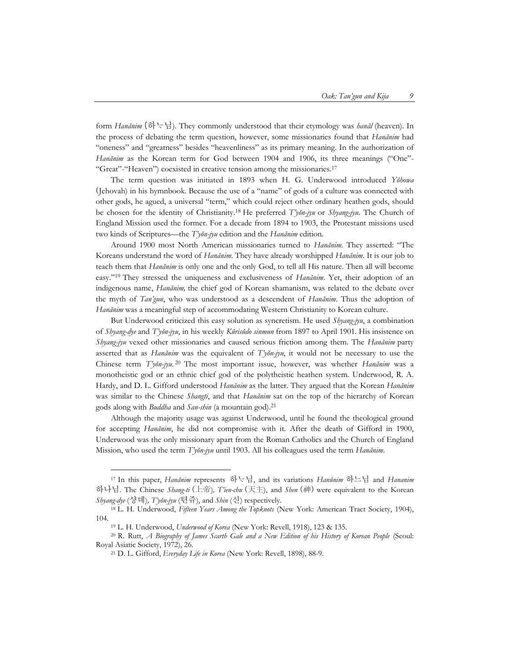form *Hanănim* (하님). They commonly understood that their etymology was *hanăl* (heaven). In the process of debating the term question, however, some missionaries found that *Hanănim* had "oneness" and "greatness" besides "heavenliness" as its primary meaning. In the authorization of *Hanănim* as the Korean term for God between 1904 and 1906, its three meanings ("One"-"Great"-"Heaven") coexisted in creative tension among the missionaries.17

The term question was initiated in 1893 when H. G. Underwood introduced *Yŏhowa*  (Jehovah) in his hymnbook. Because the use of a "name" of gods of a culture was connected with other gods, he agued, a universal "term," which could reject other ordinary heathen gods, should be chosen for the identity of Christianity. <sup>18</sup> He preferred *T'yŏn-jyu* or *Shyang-jyu*. The Church of England Mission used the former. For a decade from 1894 to 1903, the Protestant missions used two kinds of Scriptures—the *T'yŏn-jyu* edition and the *Hanănim* edition*.* 

Around 1900 most North American missionaries turned to *Hanănim*. They asserted: "The Koreans understand the word of *Hanănim*. They have already worshipped *Hanănim*. It is our job to teach them that *Hanănim* is only one and the only God, to tell all His nature. Then all will become easy."19 They stressed the uniqueness and exclusiveness of *Hanănim*. Yet, their adoption of an indigenous name, *Hanănim,* the chief god of Korean shamanism, was related to the debate over the myth of *Tan'gun*, who was understood as a descendent of *Hanănim*. Thus the adoption of *Hanănim* was a meaningful step of accommodating Western Christianity to Korean culture.

But Underwood criticized this easy solution as syncretism. He used *Shyang-jyu*, a combination of *Shyang-dye* and *T'yŏn-jyu*, in his weekly *Kŭrisŭdo sinmun* from 1897 to April 1901. His insistence on *Shyang-jyu* vexed other missionaries and caused serious friction among them. The *Hanănim* party asserted that as *Hanănim* was the equivalent of *T'yŏn-jyu*, it would not be necessary to use the Chinese term *T'yŏn-jyu*. <sup>20</sup> The most important issue, however, was whether *Hanănim* was a monotheistic god or an ethnic chief god of the polytheistic heathen system. Underwood, R. A. Hardy, and D. L. Gifford understood *Hanănim* as the latter. They argued that the Korean *Hanănim* was similar to the Chinese *Shangti*, and that *Hanănim* sat on the top of the hierarchy of Korean gods along with *Buddha* and *San-shin* (a mountain god).21

Although the majority usage was against Underwood, until he found the theological ground for accepting *Hanănim*, he did not compromise with it. After the death of Gifford in 1900, Underwood was the only missionary apart from the Roman Catholics and the Church of England Mission, who used the term *T'yŏn-jyu* until 1903. All his colleagues used the term *Hanănim*.

j

<sup>17</sup> In this paper, *Hanănim* represents 하님, and its variations *Hanŭnim* 하느님 and *Hananim* 하나님. The Chinese *Shang-ti* (上帝)*, T'ien-chu* (天主), and *Shen* (神) were equivalent to the Korean *Shyang-dye* (샹뎨)*, T'yŏn-jyu* (텬쥬), and *Shin* (신) respectively.

<sup>18</sup> L. H. Underwood, *Fifteen Years Among the Topknots* (New York: American Tract Society, 1904), 104.

<sup>19</sup> L. H. Underwood, *Underwood of Korea* (New York: Revell, 1918), 123 & 135.

<sup>20</sup> R. Rutt, *A Biography of James Scarth Gale and a New Edition of his History of Korean People* (Seoul: Royal Asiatic Society, 1972), 26. 21 D. L. Gifford, *Everyday Life in Korea* (New York: Revell, 1898), 88-9.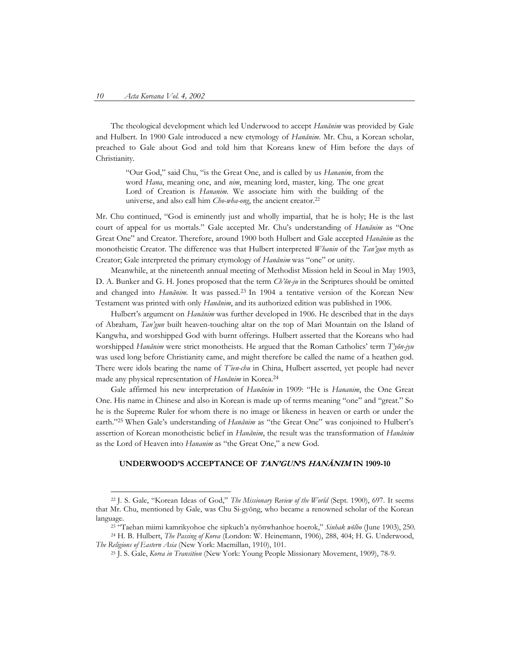The theological development which led Underwood to accept *Hanănim* was provided by Gale and Hulbert. In 1900 Gale introduced a new etymology of *Hanănim*. Mr. Chu, a Korean scholar, preached to Gale about God and told him that Koreans knew of Him before the days of Christianity.

"Our God," said Chu, "is the Great One, and is called by us *Hananim*, from the word *Hana*, meaning one, and *nim*, meaning lord, master, king. The one great Lord of Creation is *Hananim*. We associate him with the building of the universe, and also call him *Cho-wha-ong*, the ancient creator.22

Mr. Chu continued, "God is eminently just and wholly impartial, that he is holy; He is the last court of appeal for us mortals." Gale accepted Mr. Chu's understanding of *Hanănim* as "One Great One" and Creator. Therefore, around 1900 both Hulbert and Gale accepted *Hanănim* as the monotheistic Creator. The difference was that Hulbert interpreted *Whanin* of the *Tan'gun* myth as Creator; Gale interpreted the primary etymology of *Hanănim* was "one" or unity.

Meanwhile, at the nineteenth annual meeting of Methodist Mission held in Seoul in May 1903, D. A. Bunker and G. H. Jones proposed that the term *Ch'ŏn-ju* in the Scriptures should be omitted and changed into *Hanănim*. It was passed.23 In 1904 a tentative version of the Korean New Testament was printed with only *Hanănim*, and its authorized edition was published in 1906.

Hulbert's argument on *Hanănim* was further developed in 1906. He described that in the days of Abraham, *Tan'gun* built heaven-touching altar on the top of Mari Mountain on the Island of Kangwha, and worshipped God with burnt offerings. Hulbert asserted that the Koreans who had worshipped *Hanănim* were strict monotheists. He argued that the Roman Catholics' term *T'yŏn-jyu*  was used long before Christianity came, and might therefore be called the name of a heathen god. There were idols bearing the name of *T'ien-chu* in China, Hulbert asserted, yet people had never made any physical representation of *Hanănim* in Korea. 24

Gale affirmed his new interpretation of *Hanănim* in 1909: "He is *Hananim*, the One Great One. His name in Chinese and also in Korean is made up of terms meaning "one" and "great." So he is the Supreme Ruler for whom there is no image or likeness in heaven or earth or under the earth."25 When Gale's understanding of *Hanănim* as "the Great One" was conjoined to Hulbert's assertion of Korean monotheistic belief in *Hanănim*, the result was the transformation of *Hanănim* as the Lord of Heaven into *Hananim* as "the Great One," a new God.

#### **UNDERWOOD'S ACCEPTANCE OF TAN'GUN'S HANĂNIM IN 1909-10**

 <sup>22</sup> J. S. Gale, "Korean Ideas of God," *The Missionary Review of the World* (Sept. 1900), 697. It seems that Mr. Chu, mentioned by Gale, was Chu Si-gyŏng, who became a renowned scholar of the Korean

language. 23 "Taehan miimi kamrikyohoe che sipkuch'a nyŏnwhanhoe hoerok," *Sinhak wŏlbo* (June 1903), 250. 24 H. B. Hulbert, *The Passing of Korea* (London: W. Heinemann, 1906), 288, 404; H. G. Underwood,

*The Religions of Eastern Asia* (New York: Macmillan, 1910), 101.

<sup>25</sup> J. S. Gale, *Korea in Transition* (New York: Young People Missionary Movement, 1909), 78-9.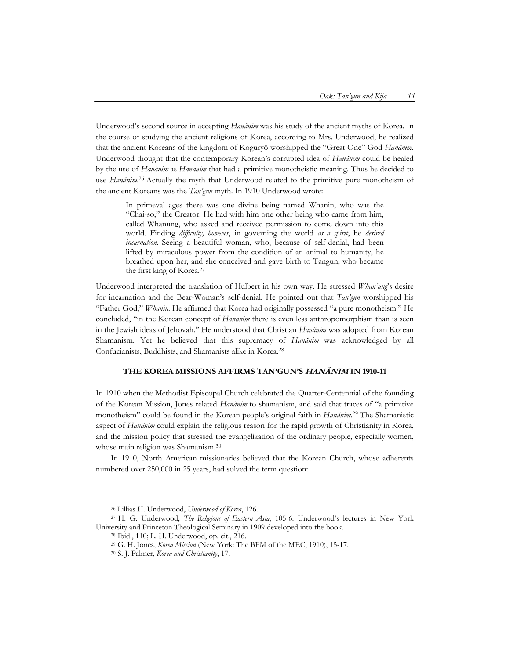Underwood's second source in accepting *Hanănim* was his study of the ancient myths of Korea. In the course of studying the ancient religions of Korea, according to Mrs. Underwood, he realized that the ancient Koreans of the kingdom of Koguryŏ worshipped the "Great One" God *Hanănim*. Underwood thought that the contemporary Korean's corrupted idea of *Hanănim* could be healed by the use of *Hanănim* as *Hananim* that had a primitive monotheistic meaning. Thus he decided to use *Hanănim*.<sup>26</sup> Actually the myth that Underwood related to the primitive pure monotheism of the ancient Koreans was the *Tan'gun* myth. In 1910 Underwood wrote:

In primeval ages there was one divine being named Whanin, who was the "Chai-so," the Creator. He had with him one other being who came from him, called Whanung, who asked and received permission to come down into this world. Finding *difficulty, however*, in governing the world *as a spirit*, he *desired incarnation.* Seeing a beautiful woman, who, because of self-denial, had been lifted by miraculous power from the condition of an animal to humanity, he breathed upon her, and she conceived and gave birth to Tangun, who became the first king of Korea.27

Underwood interpreted the translation of Hulbert in his own way. He stressed *Whan'ung*'s desire for incarnation and the Bear-Woman's self-denial. He pointed out that *Tan'gun* worshipped his "Father God," *Whanin*. He affirmed that Korea had originally possessed "a pure monotheism." He concluded, "in the Korean concept of *Hananim* there is even less anthropomorphism than is seen in the Jewish ideas of Jehovah." He understood that Christian *Hanănim* was adopted from Korean Shamanism. Yet he believed that this supremacy of *Hanănim* was acknowledged by all Confucianists, Buddhists, and Shamanists alike in Korea.28

#### **THE KOREA MISSIONS AFFIRMS TAN'GUN'S HANĂNIM IN 1910-11**

In 1910 when the Methodist Episcopal Church celebrated the Quarter-Centennial of the founding of the Korean Mission, Jones related *Hanănim* to shamanism, and said that traces of "a primitive monotheism" could be found in the Korean people's original faith in *Hanănim.*<sup>29</sup> The Shamanistic aspect of *Hanănim* could explain the religious reason for the rapid growth of Christianity in Korea, and the mission policy that stressed the evangelization of the ordinary people, especially women, whose main religion was Shamanism.30

In 1910, North American missionaries believed that the Korean Church, whose adherents numbered over 250,000 in 25 years, had solved the term question:

<sup>&</sup>lt;sup>26</sup> Lillias H. Underwood, *Underwood of Korea*, 126.<br><sup>27</sup> H. G. Underwood, *The Religions of Eastern Asia*, 105-6. Underwood's lectures in New York University and Princeton Theological Seminary in 1909 developed into the book. 28 Ibid., 110; L. H. Underwood, op. cit., 216.

<sup>29</sup> G. H. Jones, *Korea Mission* (New York: The BFM of the MEC, 1910), 15-17. 30 S. J. Palmer, *Korea and Christianity*, 17.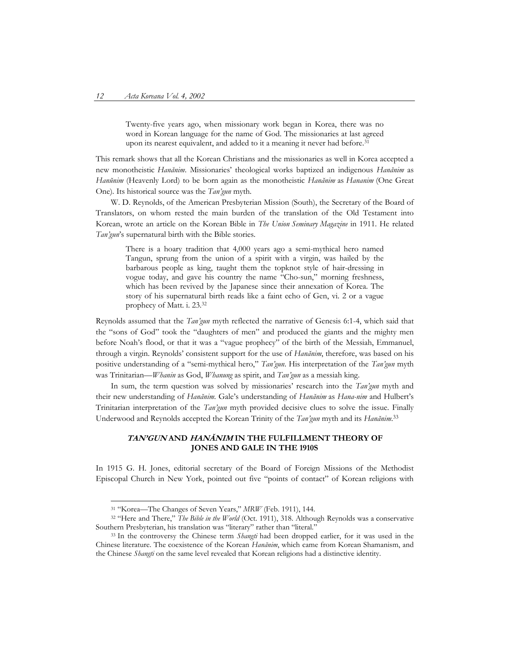Twenty-five years ago, when missionary work began in Korea, there was no word in Korean language for the name of God. The missionaries at last agreed upon its nearest equivalent, and added to it a meaning it never had before.<sup>31</sup>

This remark shows that all the Korean Christians and the missionaries as well in Korea accepted a new monotheistic *Hanănim*. Missionaries' theological works baptized an indigenous *Hanănim* as *Hanŭnim* (Heavenly Lord) to be born again as the monotheistic *Hanănim* as *Hananim* (One Great One)*.* Its historical source was the *Tan'gun* myth.

W. D. Reynolds, of the American Presbyterian Mission (South), the Secretary of the Board of Translators, on whom rested the main burden of the translation of the Old Testament into Korean, wrote an article on the Korean Bible in *The Union Seminary Magazine* in 1911. He related *Tan'gun*'s supernatural birth with the Bible stories.

There is a hoary tradition that 4,000 years ago a semi-mythical hero named Tangun, sprung from the union of a spirit with a virgin, was hailed by the barbarous people as king, taught them the topknot style of hair-dressing in vogue today, and gave his country the name "Cho-sun," morning freshness, which has been revived by the Japanese since their annexation of Korea. The story of his supernatural birth reads like a faint echo of Gen, vi. 2 or a vague prophecy of Matt. i. 23.32

Reynolds assumed that the *Tan'gun* myth reflected the narrative of Genesis 6:1-4, which said that the "sons of God" took the "daughters of men" and produced the giants and the mighty men before Noah's flood, or that it was a "vague prophecy" of the birth of the Messiah, Emmanuel, through a virgin. Reynolds' consistent support for the use of *Hanănim*, therefore, was based on his positive understanding of a "semi-mythical hero," *Tan'gun*. His interpretation of the *Tan'gun* myth was Trinitarian—*Whanin* as God, *Whanung* as spirit, and *Tan'gun* as a messiah king.

In sum, the term question was solved by missionaries' research into the *Tan'gun* myth and their new understanding of *Hanănim*. Gale's understanding of *Hanănim* as *Hana-nim* and Hulbert's Trinitarian interpretation of the *Tan'gun* myth provided decisive clues to solve the issue. Finally Underwood and Reynolds accepted the Korean Trinity of the *Tan'gun* myth and its *Hanănim*. 33

## **TAN'GUN AND HANĂNIM IN THE FULFILLMENT THEORY OF JONES AND GALE IN THE 1910S**

In 1915 G. H. Jones, editorial secretary of the Board of Foreign Missions of the Methodist Episcopal Church in New York, pointed out five "points of contact" of Korean religions with

<sup>31</sup> "Korea—The Changes of Seven Years," *MRW* (Feb. 1911), 144. 32 "Here and There," *The Bible in the World* (Oct. 1911), 318. Although Reynolds was a conservative Southern Presbyterian, his translation was "literary" rather than "literal." 33 In the controversy the Chinese term *Shangti* had been dropped earlier, for it was used in the

Chinese literature. The coexistence of the Korean *Hanănim*, which came from Korean Shamanism, and the Chinese *Shangti* on the same level revealed that Korean religions had a distinctive identity.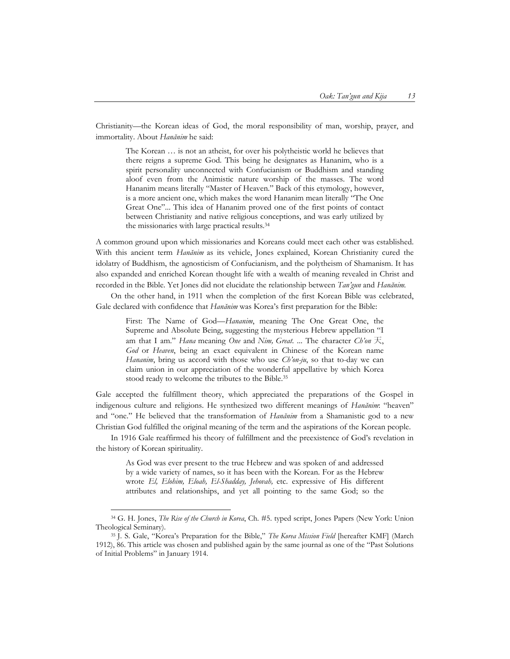Christianity—the Korean ideas of God, the moral responsibility of man, worship, prayer, and immortality. About *Hanănim* he said:

The Korean … is not an atheist, for over his polytheistic world he believes that there reigns a supreme God. This being he designates as Hananim, who is a spirit personality unconnected with Confucianism or Buddhism and standing aloof even from the Animistic nature worship of the masses. The word Hananim means literally "Master of Heaven." Back of this etymology, however, is a more ancient one, which makes the word Hananim mean literally "The One Great One"... This idea of Hananim proved one of the first points of contact between Christianity and native religious conceptions, and was early utilized by the missionaries with large practical results.34

A common ground upon which missionaries and Koreans could meet each other was established. With this ancient term *Hanănim* as its vehicle, Jones explained, Korean Christianity cured the idolatry of Buddhism, the agnosticism of Confucianism, and the polytheism of Shamanism. It has also expanded and enriched Korean thought life with a wealth of meaning revealed in Christ and recorded in the Bible. Yet Jones did not elucidate the relationship between *Tan'gun* and *Hanănim.*

On the other hand, in 1911 when the completion of the first Korean Bible was celebrated, Gale declared with confidence that *Hanănim* was Korea's first preparation for the Bible:

First: The Name of God—*Hananim*, meaning The One Great One, the Supreme and Absolute Being, suggesting the mysterious Hebrew appellation "I am that I am." *Hana* meaning *One* and *Nim, Great*. ... The character *Ch'on* 天, *God* or *Heaven*, being an exact equivalent in Chinese of the Korean name *Hananim*, bring us accord with those who use *Ch'on-ju*, so that to-day we can claim union in our appreciation of the wonderful appellative by which Korea stood ready to welcome the tributes to the Bible.35

Gale accepted the fulfillment theory, which appreciated the preparations of the Gospel in indigenous culture and religions. He synthesized two different meanings of *Hanănim*: "heaven" and "one." He believed that the transformation of *Hanănim* from a Shamanistic god to a new Christian God fulfilled the original meaning of the term and the aspirations of the Korean people.

In 1916 Gale reaffirmed his theory of fulfillment and the preexistence of God's revelation in the history of Korean spirituality.

As God was ever present to the true Hebrew and was spoken of and addressed by a wide variety of names, so it has been with the Korean. For as the Hebrew wrote *El, Elohim, Eloah, El-Shadday, Jehovah,* etc. expressive of His different attributes and relationships, and yet all pointing to the same God; so the

 <sup>34</sup> G. H. Jones, *The Rise of the Church in Korea*, Ch. #5. typed script, Jones Papers (New York: Union Theological Seminary).

<sup>35</sup> J. S. Gale, "Korea's Preparation for the Bible," *The Korea Mission Field* [hereafter KMF] (March 1912), 86. This article was chosen and published again by the same journal as one of the "Past Solutions of Initial Problems" in January 1914.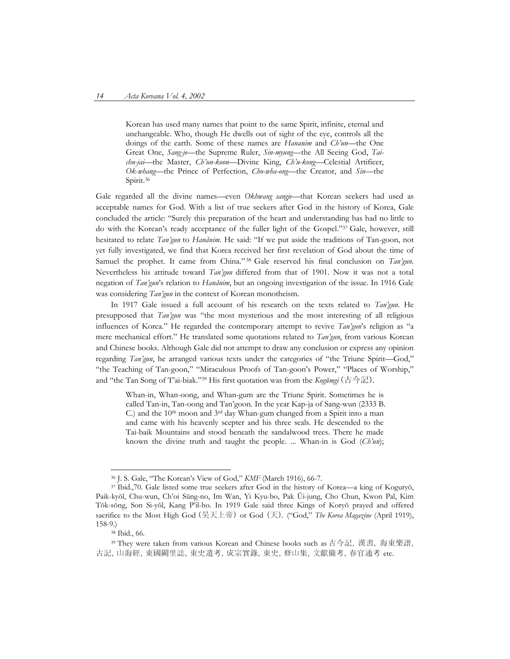Korean has used many names that point to the same Spirit, infinite, eternal and unchangeable. Who, though He dwells out of sight of the eye, controls all the doings of the earth. Some of these names are *Hananim* and *Ch'un*—the One Great One, *Sang-je*—the Supreme Ruler, *Sin-myung*—the All Seeing God, *Taichu-jai*—the Master, *Ch'un-koon*—Divine King, *Ch'u-kong*—Celestial Artificer, *Ok-whang*—the Prince of Perfection, *Cho-wha-ong*—the Creator, and *Sin*—the Spirit.<sup>36</sup>

Gale regarded all the divine names—even *Okhwang sangje*—that Korean seekers had used as acceptable names for God. With a list of true seekers after God in the history of Korea, Gale concluded the article: "Surely this preparation of the heart and understanding has had no little to do with the Korean's ready acceptance of the fuller light of the Gospel."37 Gale, however, still hesitated to relate *Tan'gun* to *Hanănim*. He said: "If we put aside the traditions of Tan-goon, not yet fully investigated, we find that Korea received her first revelation of God about the time of Samuel the prophet. It came from China." <sup>38</sup> Gale reserved his final conclusion on *Tan'gun*. Nevertheless his attitude toward *Tan'gun* differed from that of 1901. Now it was not a total negation of *Tan'gun*'s relation to *Hanănim*, but an ongoing investigation of the issue. In 1916 Gale was considering *Tan'gun* in the context of Korean monotheism.

In 1917 Gale issued a full account of his research on the texts related to *Tan'gun*. He presupposed that *Tan'gun* was "the most mysterious and the most interesting of all religious influences of Korea." He regarded the contemporary attempt to revive *Tan'gun*'s religion as "a mere mechanical effort." He translated some quotations related to *Tan'gun*, from various Korean and Chinese books. Although Gale did not attempt to draw any conclusion or express any opinion regarding *Tan'gun*, he arranged various texts under the categories of "the Triune Spirit—God," "the Teaching of Tan-goon," "Miraculous Proofs of Tan-goon's Power," "Places of Worship," and "the Tan Song of T'ai-biak."39 His first quotation was from the *Kogŭmgi* (古今記).

Whan-in, Whan-oong, and Whan-gum are the Triune Spirit. Sometimes he is called Tan-in, Tan-oong and Tan'goon. In the year Kap-ja of Sang-wun (2333 B. C.) and the 10th moon and 3rd day Whan-gum changed from a Spirit into a man and came with his heavenly scepter and his three seals. He descended to the Tai-baik Mountains and stood beneath the sandalwood trees. There he made known the divine truth and taught the people. ... Whan-in is God (*Ch'un*);

 <sup>36</sup> J. S. Gale, "The Korean's View of God," *KMF* (March 1916), 66-7.

<sup>37</sup> Ibid.,70. Gale listed some true seekers after God in the history of Korea—a king of Koguryŏ, Paik-kyŏl, Chu-wun, Ch'oi Sŭng-no, Im Wan, Yi Kyu-bo, Pak Ŭi-jung, Cho Chun, Kwon Pal, Kim Tŏk-sŏng, Son Si-yŏl, Kang P'il-ho. In 1919 Gale said three Kings of Koryŏ prayed and offered sacrifice to the Most High God (昊天上帝) or God (天). ("God," *The Korea Magazine* (April 1919), 158-9.)

<sup>38</sup> Ibid., 66.

<sup>39</sup> They were taken from various Korean and Chinese books such as 古今記, 漢書, 海東樂譜, 古記, 山海經, 東國闕里誌, 東史遺考, 成宗實錄, 東史, 修山集, 文獻備考, 春官通考 etc.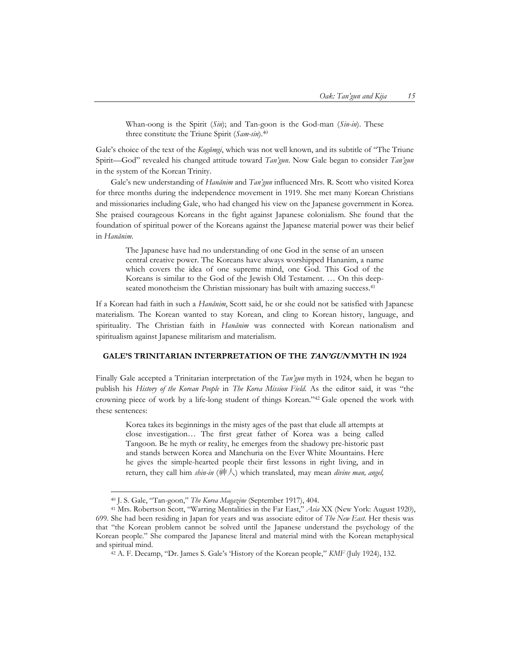Whan-oong is the Spirit (*Sin*); and Tan-goon is the God-man (*Sin-in*). These three constitute the Triune Spirit (*Sam-sin*).40

Gale's choice of the text of the *Kogŭmgi*, which was not well known, and its subtitle of "The Triune Spirit—God" revealed his changed attitude toward *Tan'gun*. Now Gale began to consider *Tan'gun* in the system of the Korean Trinity.

Gale's new understanding of *Hanănim* and *Tan'gun* influenced Mrs. R. Scott who visited Korea for three months during the independence movement in 1919. She met many Korean Christians and missionaries including Gale, who had changed his view on the Japanese government in Korea. She praised courageous Koreans in the fight against Japanese colonialism. She found that the foundation of spiritual power of the Koreans against the Japanese material power was their belief in *Hanănim*.

The Japanese have had no understanding of one God in the sense of an unseen central creative power. The Koreans have always worshipped Hananim, a name which covers the idea of one supreme mind, one God. This God of the Koreans is similar to the God of the Jewish Old Testament. … On this deepseated monotheism the Christian missionary has built with amazing success.<sup>41</sup>

If a Korean had faith in such a *Hanănim*, Scott said, he or she could not be satisfied with Japanese materialism. The Korean wanted to stay Korean, and cling to Korean history, language, and spirituality. The Christian faith in *Hanănim* was connected with Korean nationalism and spiritualism against Japanese militarism and materialism.

#### **GALE'S TRINITARIAN INTERPRETATION OF THE TAN'GUN MYTH IN 1924**

Finally Gale accepted a Trinitarian interpretation of the *Tan'gun* myth in 1924, when he began to publish his *History of the Korean People* in *The Korea Mission Field*. As the editor said, it was "the crowning piece of work by a life-long student of things Korean."42 Gale opened the work with these sentences:

Korea takes its beginnings in the misty ages of the past that elude all attempts at close investigation… The first great father of Korea was a being called Tangoon. Be he myth or reality, he emerges from the shadowy pre-historic past and stands between Korea and Manchuria on the Ever White Mountains. Here he gives the simple-hearted people their first lessons in right living, and in return, they call him *shin-in* (神人) which translated, may mean *divine man, angel,* 

<sup>40</sup> J. S. Gale, "Tan-goon," *The Korea Magazine* (September 1917), 404. 41 Mrs. Robertson Scott, "Warring Mentalities in the Far East," *Asia* XX (New York: August 1920), 699. She had been residing in Japan for years and was associate editor of *The New East.* Her thesis was that "the Korean problem cannot be solved until the Japanese understand the psychology of the Korean people." She compared the Japanese literal and material mind with the Korean metaphysical and spiritual mind.

<sup>42</sup> A. F. Decamp, "Dr. James S. Gale's 'History of the Korean people," *KMF* (July 1924), 132.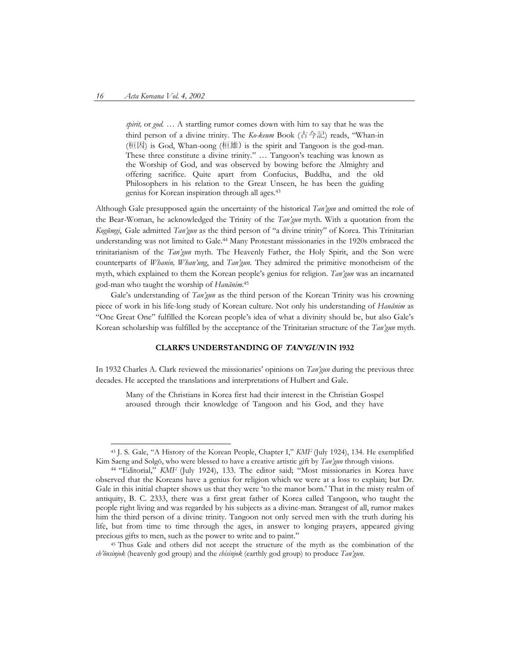*spirit,* or *god.* … A startling rumor comes down with him to say that he was the third person of a divine trinity. The *Ko-keum* Book (古今記) reads, "Whan-in (桓因) is God, Whan-oong (桓雄) is the spirit and Tangoon is the god-man. These three constitute a divine trinity." … Tangoon's teaching was known as the Worship of God, and was observed by bowing before the Almighty and offering sacrifice. Quite apart from Confucius, Buddha, and the old Philosophers in his relation to the Great Unseen, he has been the guiding genius for Korean inspiration through all ages.43

Although Gale presupposed again the uncertainty of the historical *Tan'gun* and omitted the role of the Bear-Woman, he acknowledged the Trinity of the *Tan'gun* myth. With a quotation from the *Kogŭmgi*, Gale admitted *Tan'gun* as the third person of "a divine trinity" of Korea. This Trinitarian understanding was not limited to Gale.44 Many Protestant missionaries in the 1920s embraced the trinitarianism of the *Tan'gun* myth. The Heavenly Father, the Holy Spirit, and the Son were counterparts of *Whanin, Whan'ung*, and *Tan'gun*. They admired the primitive monotheism of the myth, which explained to them the Korean people's genius for religion. *Tan'gun* was an incarnated god-man who taught the worship of *Hanănim*. 45

Gale's understanding of *Tan'gun* as the third person of the Korean Trinity was his crowning piece of work in his life-long study of Korean culture. Not only his understanding of *Hanănim* as "One Great One" fulfilled the Korean people's idea of what a divinity should be, but also Gale's Korean scholarship was fulfilled by the acceptance of the Trinitarian structure of the *Tan'gun* myth.

#### **CLARK'S UNDERSTANDING OF TAN'GUN IN 1932**

In 1932 Charles A. Clark reviewed the missionaries' opinions on *Tan'gun* during the previous three decades. He accepted the translations and interpretations of Hulbert and Gale.

Many of the Christians in Korea first had their interest in the Christian Gospel aroused through their knowledge of Tangoon and his God, and they have

 <sup>43</sup> J. S. Gale, "A History of the Korean People, Chapter I," *KMF* (July 1924), 134. He exemplified Kim Saeng and Solgŏ, who were blessed to have a creative artistic gift by *Tan'gun* through visions.<br><sup>44</sup> "Editorial," *KMF* (July 1924), 133. The editor said; "Most missionaries in Korea have

observed that the Koreans have a genius for religion which we were at a loss to explain; but Dr. Gale in this initial chapter shows us that they were 'to the manor born.' That in the misty realm of antiquity, B. C. 2333, there was a first great father of Korea called Tangoon, who taught the people right living and was regarded by his subjects as a divine-man. Strangest of all, rumor makes him the third person of a divine trinity. Tangoon not only served men with the truth during his life, but from time to time through the ages, in answer to longing prayers, appeared giving precious gifts to men, such as the power to write and to paint."

<sup>45</sup> Thus Gale and others did not accept the structure of the myth as the combination of the *ch'ŏnsinjok* (heavenly god group) and the *chisinjok* (earthly god group) to produce *Tan'gun*.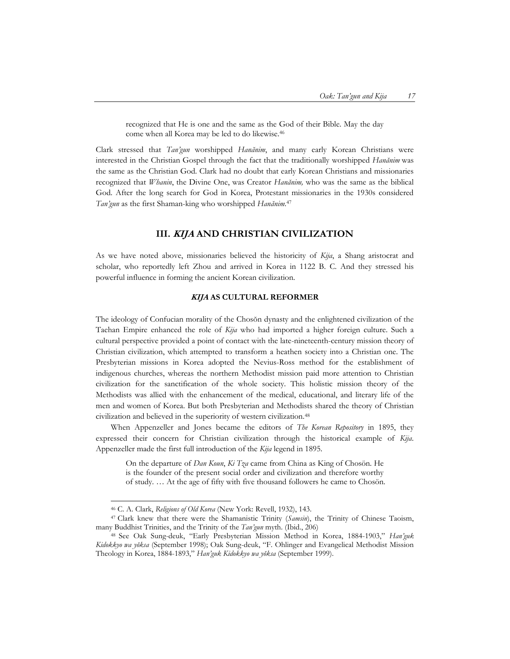recognized that He is one and the same as the God of their Bible. May the day come when all Korea may be led to do likewise.46

Clark stressed that *Tan'gun* worshipped *Hanănim*, and many early Korean Christians were interested in the Christian Gospel through the fact that the traditionally worshipped *Hanănim* was the same as the Christian God. Clark had no doubt that early Korean Christians and missionaries recognized that *Whanin*, the Divine One, was Creator *Hanănim,* who was the same as the biblical God. After the long search for God in Korea, Protestant missionaries in the 1930s considered *Tan'gun* as the first Shaman-king who worshipped *Hanănim.* 47

## **III. KIJA AND CHRISTIAN CIVILIZATION**

As we have noted above, missionaries believed the historicity of *Kija*, a Shang aristocrat and scholar, who reportedly left Zhou and arrived in Korea in 1122 B. C. And they stressed his powerful influence in forming the ancient Korean civilization.

#### **KIJA AS CULTURAL REFORMER**

The ideology of Confucian morality of the Chosŏn dynasty and the enlightened civilization of the Taehan Empire enhanced the role of *Kija* who had imported a higher foreign culture. Such a cultural perspective provided a point of contact with the late-nineteenth-century mission theory of Christian civilization, which attempted to transform a heathen society into a Christian one. The Presbyterian missions in Korea adopted the Nevius-Ross method for the establishment of indigenous churches, whereas the northern Methodist mission paid more attention to Christian civilization for the sanctification of the whole society. This holistic mission theory of the Methodists was allied with the enhancement of the medical, educational, and literary life of the men and women of Korea. But both Presbyterian and Methodists shared the theory of Christian civilization and believed in the superiority of western civilization.48

When Appenzeller and Jones became the editors of *The Korean Repository* in 1895, they expressed their concern for Christian civilization through the historical example of *Kija*. Appenzeller made the first full introduction of the *Kija* legend in 1895.

On the departure of *Dan Koun*, *Ki Tza* came from China as King of Chosön. He is the founder of the present social order and civilization and therefore worthy of study. … At the age of fifty with five thousand followers he came to Chosön.

<sup>46</sup> C. A. Clark, *Religions of Old Korea* (New York: Revell, 1932), 143. 47 Clark knew that there were the Shamanistic Trinity (*Samsin*), the Trinity of Chinese Taoism, many Buddhist Trinities, and the Trinity of the *Tan'gun* myth. (Ibid., 206) 48 See Oak Sung-deuk, "Early Presbyterian Mission Method in Korea, 1884-1903," *Han'guk* 

*Kidokkyo wa yŏksa* (September 1998); Oak Sung-deuk, "F. Ohlinger and Evangelical Methodist Mission Theology in Korea, 1884-1893," *Han'guk Kidokkyo wa yŏksa* (September 1999).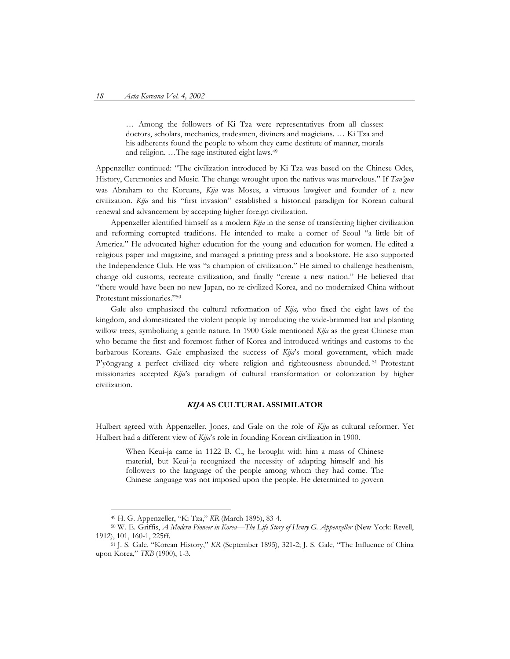… Among the followers of Ki Tza were representatives from all classes: doctors, scholars, mechanics, tradesmen, diviners and magicians. … Ki Tza and his adherents found the people to whom they came destitute of manner, morals and religion. …The sage instituted eight laws.49

Appenzeller continued: "The civilization introduced by Ki Tza was based on the Chinese Odes, History, Ceremonies and Music. The change wrought upon the natives was marvelous." If *Tan'gun*  was Abraham to the Koreans, *Kija* was Moses, a virtuous lawgiver and founder of a new civilization. *Kija* and his "first invasion" established a historical paradigm for Korean cultural renewal and advancement by accepting higher foreign civilization.

Appenzeller identified himself as a modern *Kija* in the sense of transferring higher civilization and reforming corrupted traditions. He intended to make a corner of Seoul "a little bit of America." He advocated higher education for the young and education for women. He edited a religious paper and magazine, and managed a printing press and a bookstore. He also supported the Independence Club. He was "a champion of civilization." He aimed to challenge heathenism, change old customs, recreate civilization, and finally "create a new nation." He believed that "there would have been no new Japan, no re-civilized Korea, and no modernized China without Protestant missionaries."50

Gale also emphasized the cultural reformation of *Kija,* who fixed the eight laws of the kingdom, and domesticated the violent people by introducing the wide-brimmed hat and planting willow trees, symbolizing a gentle nature. In 1900 Gale mentioned *Kija* as the great Chinese man who became the first and foremost father of Korea and introduced writings and customs to the barbarous Koreans. Gale emphasized the success of *Kija*'s moral government, which made P'yŏngyang a perfect civilized city where religion and righteousness abounded. <sup>51</sup> Protestant missionaries accepted *Kija*'s paradigm of cultural transformation or colonization by higher civilization.

#### **KIJA AS CULTURAL ASSIMILATOR**

Hulbert agreed with Appenzeller, Jones, and Gale on the role of *Kija* as cultural reformer. Yet Hulbert had a different view of *Kija*'s role in founding Korean civilization in 1900.

When Keui-ja came in 1122 B. C., he brought with him a mass of Chinese material, but Keui-ja recognized the necessity of adapting himself and his followers to the language of the people among whom they had come. The Chinese language was not imposed upon the people. He determined to govern

<sup>&</sup>lt;sup>49</sup> H. G. Appenzeller, "Ki Tza," *KR (March 1895), 83-4. (March 1895), 83-4. Solution B. Appenzeller* (New York: Revell, 1912), 101, 160-1, 225ff.<br><sup>51</sup> J. S. Gale, "Korean History," *KR* (September 1895), 321-2; J. S. Gale, "The Influence of China

upon Korea," *TKB* (1900), 1-3.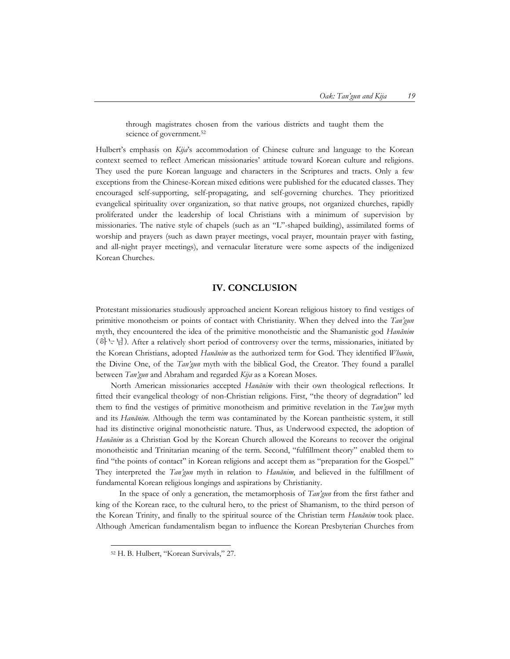through magistrates chosen from the various districts and taught them the science of government.<sup>52</sup>

Hulbert's emphasis on *Kija*'s accommodation of Chinese culture and language to the Korean context seemed to reflect American missionaries' attitude toward Korean culture and religions. They used the pure Korean language and characters in the Scriptures and tracts. Only a few exceptions from the Chinese-Korean mixed editions were published for the educated classes. They encouraged self-supporting, self-propagating, and self-governing churches. They prioritized evangelical spirituality over organization, so that native groups, not organized churches, rapidly proliferated under the leadership of local Christians with a minimum of supervision by missionaries. The native style of chapels (such as an "L"-shaped building), assimilated forms of worship and prayers (such as dawn prayer meetings, vocal prayer, mountain prayer with fasting, and all-night prayer meetings), and vernacular literature were some aspects of the indigenized Korean Churches.

## **IV. CONCLUSION**

Protestant missionaries studiously approached ancient Korean religious history to find vestiges of primitive monotheism or points of contact with Christianity. When they delved into the *Tan'gun* myth, they encountered the idea of the primitive monotheistic and the Shamanistic god *Hanănim* (하님)*.* After a relatively short period of controversy over the terms, missionaries, initiated by the Korean Christians, adopted *Hanănim* as the authorized term for God. They identified *Whanin*, the Divine One, of the *Tan'gun* myth with the biblical God, the Creator. They found a parallel between *Tan'gun* and Abraham and regarded *Kija* as a Korean Moses.

North American missionaries accepted *Hanănim* with their own theological reflections. It fitted their evangelical theology of non-Christian religions. First, "the theory of degradation" led them to find the vestiges of primitive monotheism and primitive revelation in the *Tan'gun* myth and its *Hanănim*. Although the term was contaminated by the Korean pantheistic system, it still had its distinctive original monotheistic nature. Thus, as Underwood expected, the adoption of *Hanănim* as a Christian God by the Korean Church allowed the Koreans to recover the original monotheistic and Trinitarian meaning of the term. Second, "fulfillment theory" enabled them to find "the points of contact" in Korean religions and accept them as "preparation for the Gospel." They interpreted the *Tan'gun* myth in relation to *Hanănim*, and believed in the fulfillment of fundamental Korean religious longings and aspirations by Christianity.

In the space of only a generation, the metamorphosis of *Tan'gun* from the first father and king of the Korean race, to the cultural hero, to the priest of Shamanism, to the third person of the Korean Trinity, and finally to the spiritual source of the Christian term *Hanănim* took place. Although American fundamentalism began to influence the Korean Presbyterian Churches from

 <sup>52</sup> H. B. Hulbert, "Korean Survivals," 27.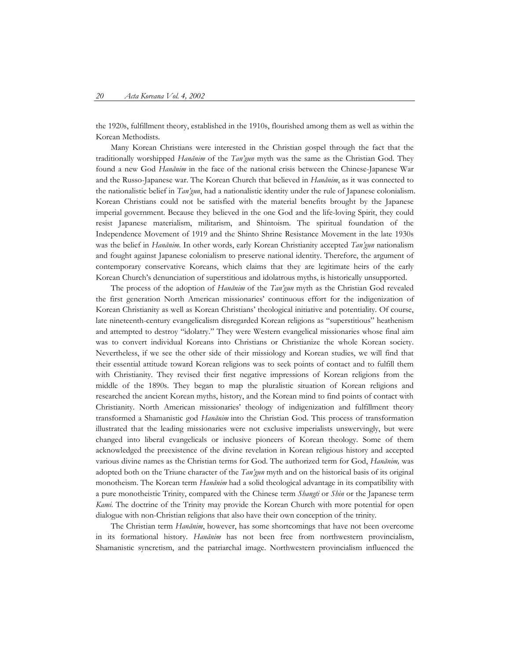the 1920s, fulfillment theory, established in the 1910s, flourished among them as well as within the Korean Methodists.

Many Korean Christians were interested in the Christian gospel through the fact that the traditionally worshipped *Hanănim* of the *Tan'gun* myth was the same as the Christian God. They found a new God *Hanănim* in the face of the national crisis between the Chinese-Japanese War and the Russo-Japanese war. The Korean Church that believed in *Hanănim*, as it was connected to the nationalistic belief in *Tan'gun*, had a nationalistic identity under the rule of Japanese colonialism. Korean Christians could not be satisfied with the material benefits brought by the Japanese imperial government. Because they believed in the one God and the life-loving Spirit, they could resist Japanese materialism, militarism, and Shintoism. The spiritual foundation of the Independence Movement of 1919 and the Shinto Shrine Resistance Movement in the late 1930s was the belief in *Hanănim*. In other words, early Korean Christianity accepted *Tan'gun* nationalism and fought against Japanese colonialism to preserve national identity. Therefore, the argument of contemporary conservative Koreans, which claims that they are legitimate heirs of the early Korean Church's denunciation of superstitious and idolatrous myths, is historically unsupported.

The process of the adoption of *Hanănim* of the *Tan'gun* myth as the Christian God revealed the first generation North American missionaries' continuous effort for the indigenization of Korean Christianity as well as Korean Christians' theological initiative and potentiality. Of course, late nineteenth-century evangelicalism disregarded Korean religions as "superstitious" heathenism and attempted to destroy "idolatry." They were Western evangelical missionaries whose final aim was to convert individual Koreans into Christians or Christianize the whole Korean society. Nevertheless, if we see the other side of their missiology and Korean studies, we will find that their essential attitude toward Korean religions was to seek points of contact and to fulfill them with Christianity. They revised their first negative impressions of Korean religions from the middle of the 1890s. They began to map the pluralistic situation of Korean religions and researched the ancient Korean myths, history, and the Korean mind to find points of contact with Christianity. North American missionaries' theology of indigenization and fulfillment theory transformed a Shamanistic god *Hanănim* into the Christian God. This process of transformation illustrated that the leading missionaries were not exclusive imperialists unswervingly, but were changed into liberal evangelicals or inclusive pioneers of Korean theology. Some of them acknowledged the preexistence of the divine revelation in Korean religious history and accepted various divine names as the Christian terms for God. The authorized term for God, *Hanănim,* was adopted both on the Triune character of the *Tan'gun* myth and on the historical basis of its original monotheism. The Korean term *Hanănim* had a solid theological advantage in its compatibility with a pure monotheistic Trinity, compared with the Chinese term *Shangti* or *Shin* or the Japanese term *Kami*. The doctrine of the Trinity may provide the Korean Church with more potential for open dialogue with non-Christian religions that also have their own conception of the trinity.

The Christian term *Hanănim*, however, has some shortcomings that have not been overcome in its formational history. *Hanănim* has not been free from northwestern provincialism, Shamanistic syncretism, and the patriarchal image. Northwestern provincialism influenced the